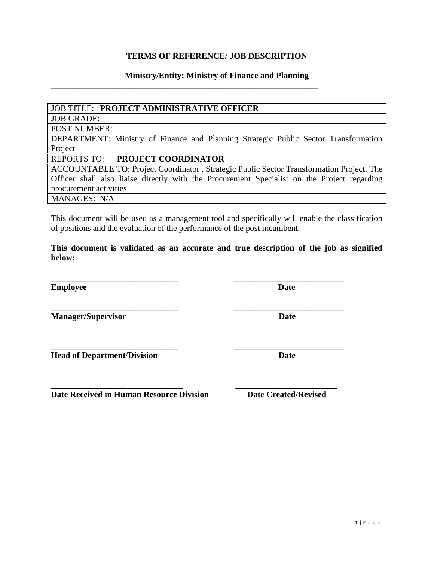# **TERMS OF REFERENCE/ JOB DESCRIPTION**

### **Ministry/Entity: Ministry of Finance and Planning**

**\_\_\_\_\_\_\_\_\_\_\_\_\_\_\_\_\_\_\_\_\_\_\_\_\_\_\_\_\_\_\_\_\_\_\_\_\_\_\_\_\_\_\_\_\_\_\_\_\_\_\_\_\_\_\_\_\_\_\_\_\_\_\_**

### JOB TITLE: **PROJECT ADMINISTRATIVE OFFICER**

JOB GRADE:

POST NUMBER:

DEPARTMENT: Ministry of Finance and Planning Strategic Public Sector Transformation Project

### REPORTS TO: **PROJECT COORDINATOR**

ACCOUNTABLE TO: Project Coordinator , Strategic Public Sector Transformation Project. The Officer shall also liaise directly with the Procurement Specialist on the Project regarding procurement activities MANAGES: N/A

This document will be used as a management tool and specifically will enable the classification of positions and the evaluation of the performance of the post incumbent.

**This document is validated as an accurate and true description of the job as signified below:**

**\_\_\_\_\_\_\_\_\_\_\_\_\_\_\_\_\_\_\_\_\_\_\_\_\_\_\_\_\_\_ \_\_\_\_\_\_\_\_\_\_\_\_\_\_\_\_\_\_\_\_\_\_\_\_\_\_**

**\_\_\_\_\_\_\_\_\_\_\_\_\_\_\_\_\_\_\_\_\_\_\_\_\_\_\_\_\_\_ \_\_\_\_\_\_\_\_\_\_\_\_\_\_\_\_\_\_\_\_\_\_\_\_\_\_**

**Employee Date**

**Manager/Supervisor Date**

**Head of Department/Division** Date

**\_\_\_\_\_\_\_\_\_\_\_\_\_\_\_\_\_\_\_\_\_\_\_\_\_\_\_\_\_\_\_ \_\_\_\_\_\_\_\_\_\_\_\_\_\_\_\_\_\_\_\_\_\_\_\_ Date Received in Human Resource Division Date Created/Revised** 

**\_\_\_\_\_\_\_\_\_\_\_\_\_\_\_\_\_\_\_\_\_\_\_\_\_\_\_\_\_\_ \_\_\_\_\_\_\_\_\_\_\_\_\_\_\_\_\_\_\_\_\_\_\_\_\_\_**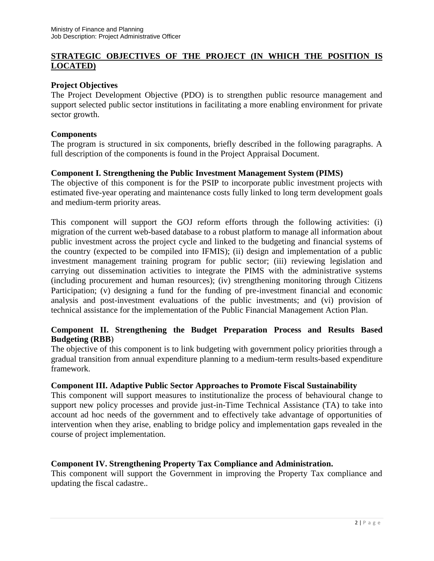### **STRATEGIC OBJECTIVES OF THE PROJECT (IN WHICH THE POSITION IS LOCATED)**

### **Project Objectives**

The Project Development Objective (PDO) is to strengthen public resource management and support selected public sector institutions in facilitating a more enabling environment for private sector growth.

### **Components**

The program is structured in six components, briefly described in the following paragraphs. A full description of the components is found in the Project Appraisal Document.

### **Component I. Strengthening the Public Investment Management System (PIMS)**

The objective of this component is for the PSIP to incorporate public investment projects with estimated five-year operating and maintenance costs fully linked to long term development goals and medium-term priority areas.

This component will support the GOJ reform efforts through the following activities: (i) migration of the current web-based database to a robust platform to manage all information about public investment across the project cycle and linked to the budgeting and financial systems of the country (expected to be compiled into IFMIS); (ii) design and implementation of a public investment management training program for public sector; (iii) reviewing legislation and carrying out dissemination activities to integrate the PIMS with the administrative systems (including procurement and human resources); (iv) strengthening monitoring through Citizens Participation; (v) designing a fund for the funding of pre-investment financial and economic analysis and post-investment evaluations of the public investments; and (vi) provision of technical assistance for the implementation of the Public Financial Management Action Plan.

### **Component II. Strengthening the Budget Preparation Process and Results Based Budgeting (RBB**)

The objective of this component is to link budgeting with government policy priorities through a gradual transition from annual expenditure planning to a medium-term results-based expenditure framework.

#### **Component III. Adaptive Public Sector Approaches to Promote Fiscal Sustainability**

This component will support measures to institutionalize the process of behavioural change to support new policy processes and provide just-in-Time Technical Assistance (TA) to take into account ad hoc needs of the government and to effectively take advantage of opportunities of intervention when they arise, enabling to bridge policy and implementation gaps revealed in the course of project implementation.

### **Component IV. Strengthening Property Tax Compliance and Administration.**

This component will support the Government in improving the Property Tax compliance and updating the fiscal cadastre..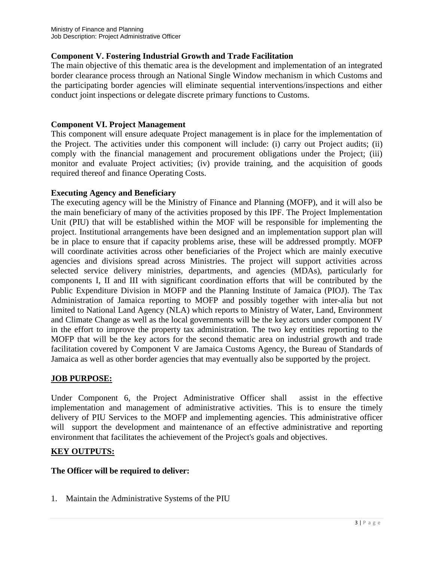### **Component V. Fostering Industrial Growth and Trade Facilitation**

The main objective of this thematic area is the development and implementation of an integrated border clearance process through an National Single Window mechanism in which Customs and the participating border agencies will eliminate sequential interventions/inspections and either conduct joint inspections or delegate discrete primary functions to Customs.

### **Component VI. Project Management**

This component will ensure adequate Project management is in place for the implementation of the Project. The activities under this component will include: (i) carry out Project audits; (ii) comply with the financial management and procurement obligations under the Project; (iii) monitor and evaluate Project activities; (iv) provide training, and the acquisition of goods required thereof and finance Operating Costs.

# **Executing Agency and Beneficiary**

The executing agency will be the Ministry of Finance and Planning (MOFP), and it will also be the main beneficiary of many of the activities proposed by this IPF. The Project Implementation Unit (PIU) that will be established within the MOF will be responsible for implementing the project. Institutional arrangements have been designed and an implementation support plan will be in place to ensure that if capacity problems arise, these will be addressed promptly. MOFP will coordinate activities across other beneficiaries of the Project which are mainly executive agencies and divisions spread across Ministries. The project will support activities across selected service delivery ministries, departments, and agencies (MDAs), particularly for components I, II and III with significant coordination efforts that will be contributed by the Public Expenditure Division in MOFP and the Planning Institute of Jamaica (PIOJ). The Tax Administration of Jamaica reporting to MOFP and possibly together with inter-alia but not limited to National Land Agency (NLA) which reports to Ministry of Water, Land, Environment and Climate Change as well as the local governments will be the key actors under component IV in the effort to improve the property tax administration. The two key entities reporting to the MOFP that will be the key actors for the second thematic area on industrial growth and trade facilitation covered by Component V are Jamaica Customs Agency, the Bureau of Standards of Jamaica as well as other border agencies that may eventually also be supported by the project.

### **JOB PURPOSE:**

Under Component 6, the Project Administrative Officer shall assist in the effective implementation and management of administrative activities. This is to ensure the timely delivery of PIU Services to the MOFP and implementing agencies. This administrative officer will support the development and maintenance of an effective administrative and reporting environment that facilitates the achievement of the Project's goals and objectives.

### **KEY OUTPUTS:**

### **The Officer will be required to deliver:**

1. Maintain the Administrative Systems of the PIU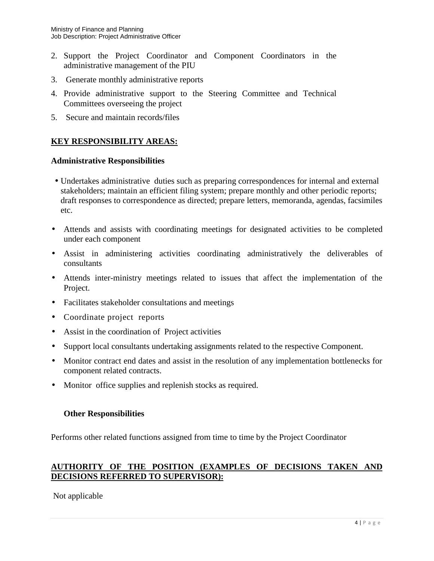- 2. Support the Project Coordinator and Component Coordinators in the administrative management of the PIU
- 3. Generate monthly administrative reports
- 4. Provide administrative support to the Steering Committee and Technical Committees overseeing the project
- 5. Secure and maintain records/files

# **KEY RESPONSIBILITY AREAS:**

### **Administrative Responsibilities**

- Undertakes administrative duties such as preparing correspondences for internal and external stakeholders; maintain an efficient filing system; prepare monthly and other periodic reports; draft responses to correspondence as directed; prepare letters, memoranda, agendas, facsimiles etc.
- Attends and assists with coordinating meetings for designated activities to be completed under each component
- Assist in administering activities coordinating administratively the deliverables of consultants
- Attends inter-ministry meetings related to issues that affect the implementation of the Project.
- Facilitates stakeholder consultations and meetings
- Coordinate project reports
- Assist in the coordination of Project activities
- Support local consultants undertaking assignments related to the respective Component.
- Monitor contract end dates and assist in the resolution of any implementation bottlenecks for component related contracts.
- Monitor office supplies and replenish stocks as required.

### **Other Responsibilities**

Performs other related functions assigned from time to time by the Project Coordinator

### **AUTHORITY OF THE POSITION (EXAMPLES OF DECISIONS TAKEN AND DECISIONS REFERRED TO SUPERVISOR):**

### Not applicable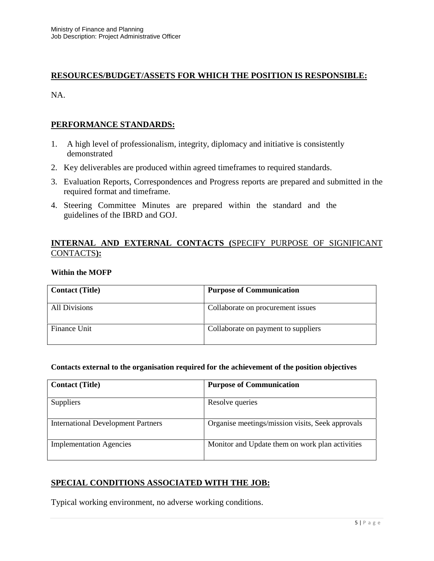### **RESOURCES/BUDGET/ASSETS FOR WHICH THE POSITION IS RESPONSIBLE:**

NA.

### **PERFORMANCE STANDARDS:**

- 1. A high level of professionalism, integrity, diplomacy and initiative is consistently demonstrated
- 2. Key deliverables are produced within agreed timeframes to required standards.
- 3. Evaluation Reports, Correspondences and Progress reports are prepared and submitted in the required format and timeframe.
- 4. Steering Committee Minutes are prepared within the standard and the guidelines of the IBRD and GOJ.

### **INTERNAL AND EXTERNAL CONTACTS (**SPECIFY PURPOSE OF SIGNIFICANT CONTACTS**):**

#### **Within the MOFP**

| <b>Contact (Title)</b> | <b>Purpose of Communication</b>     |
|------------------------|-------------------------------------|
| All Divisions          | Collaborate on procurement issues   |
| Finance Unit           | Collaborate on payment to suppliers |

#### **Contacts external to the organisation required for the achievement of the position objectives**

| <b>Contact (Title)</b>                    | <b>Purpose of Communication</b>                  |
|-------------------------------------------|--------------------------------------------------|
| Suppliers                                 | Resolve queries                                  |
| <b>International Development Partners</b> | Organise meetings/mission visits, Seek approvals |
| <b>Implementation Agencies</b>            | Monitor and Update them on work plan activities  |

### **SPECIAL CONDITIONS ASSOCIATED WITH THE JOB:**

Typical working environment, no adverse working conditions.